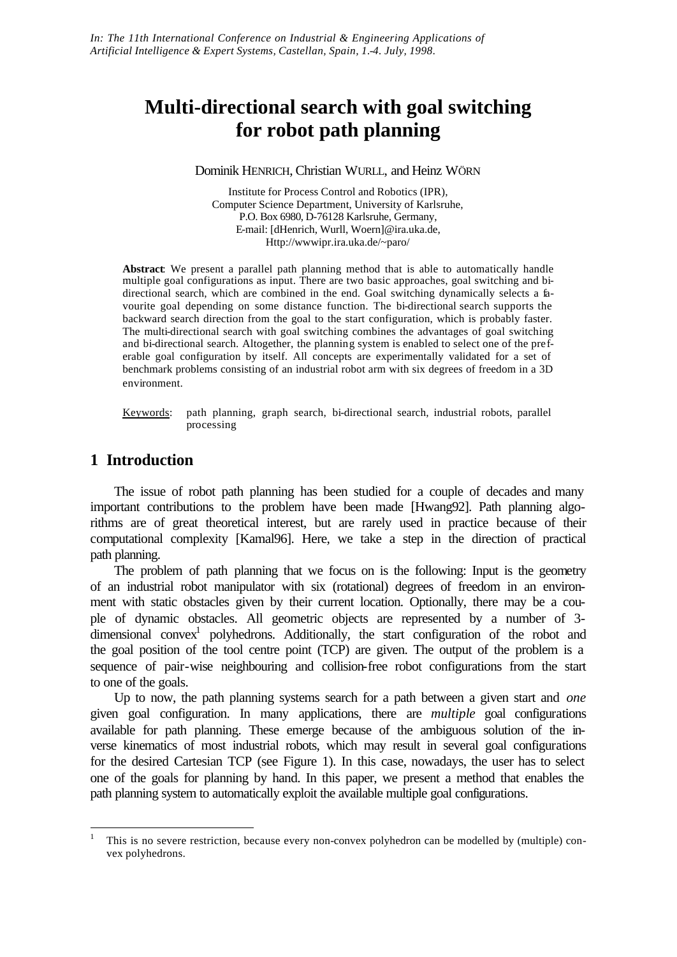# **Multi-directional search with goal switching for robot path planning**

#### Dominik HENRICH, Christian WURLL, and Heinz WÖRN

Institute for Process Control and Robotics (IPR), Computer Science Department, University of Karlsruhe, P.O. Box 6980, D-76128 Karlsruhe, Germany, E-mail: [dHenrich, Wurll, Woern]@ira.uka.de, Http://wwwipr.ira.uka.de/~paro/

**Abstract**: We present a parallel path planning method that is able to automatically handle multiple goal configurations as input. There are two basic approaches, goal switching and bidirectional search, which are combined in the end. Goal switching dynamically selects a favourite goal depending on some distance function. The bi-directional search supports the backward search direction from the goal to the start configuration, which is probably faster. The multi-directional search with goal switching combines the advantages of goal switching and bi-directional search. Altogether, the planning system is enabled to select one of the preferable goal configuration by itself. All concepts are experimentally validated for a set of benchmark problems consisting of an industrial robot arm with six degrees of freedom in a 3D environment.

Keywords: path planning, graph search, bi-directional search, industrial robots, parallel processing

# **1 Introduction**

l

The issue of robot path planning has been studied for a couple of decades and many important contributions to the problem have been made [Hwang92]. Path planning algorithms are of great theoretical interest, but are rarely used in practice because of their computational complexity [Kamal96]. Here, we take a step in the direction of practical path planning.

The problem of path planning that we focus on is the following: Input is the geometry of an industrial robot manipulator with six (rotational) degrees of freedom in an environment with static obstacles given by their current location. Optionally, there may be a couple of dynamic obstacles. All geometric objects are represented by a number of 3 dimensional convex<sup>1</sup> polyhedrons. Additionally, the start configuration of the robot and the goal position of the tool centre point (TCP) are given. The output of the problem is a sequence of pair-wise neighbouring and collision-free robot configurations from the start to one of the goals.

Up to now, the path planning systems search for a path between a given start and *one* given goal configuration. In many applications, there are *multiple* goal configurations available for path planning. These emerge because of the ambiguous solution of the inverse kinematics of most industrial robots, which may result in several goal configurations for the desired Cartesian TCP (see Figure 1). In this case, nowadays, the user has to select one of the goals for planning by hand. In this paper, we present a method that enables the path planning system to automatically exploit the available multiple goal configurations.

<sup>1</sup> This is no severe restriction, because every non-convex polyhedron can be modelled by (multiple) convex polyhedrons.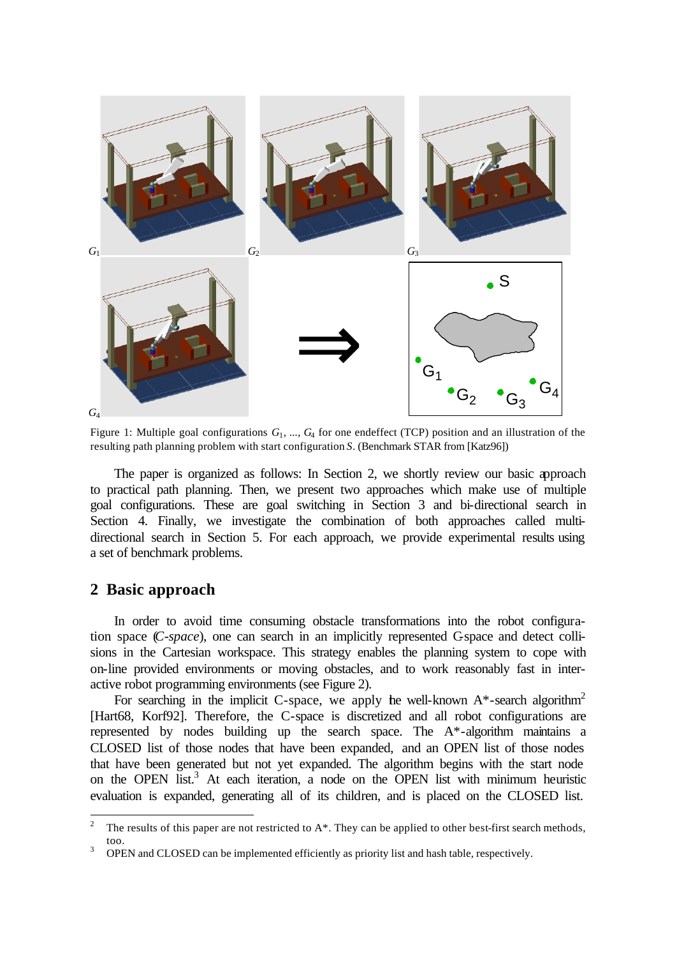

Figure 1: Multiple goal configurations  $G_1$ , ...,  $G_4$  for one endeffect (TCP) position and an illustration of the resulting path planning problem with start configuration *S*. (Benchmark STAR from [Katz96])

The paper is organized as follows: In Section 2, we shortly review our basic approach to practical path planning. Then, we present two approaches which make use of multiple goal configurations. These are goal switching in Section 3 and bi-directional search in Section 4. Finally, we investigate the combination of both approaches called multidirectional search in Section 5. For each approach, we provide experimental results using a set of benchmark problems.

# **2 Basic approach**

In order to avoid time consuming obstacle transformations into the robot configuration space (*C-space*), one can search in an implicitly represented C-space and detect collisions in the Cartesian workspace. This strategy enables the planning system to cope with on-line provided environments or moving obstacles, and to work reasonably fast in interactive robot programming environments (see Figure 2).

For searching in the implicit C-space, we apply the well-known  $A^*$ -search algorithm<sup>2</sup> [Hart68, Korf92]. Therefore, the C-space is discretized and all robot configurations are represented by nodes building up the search space. The A\*-algorithm maintains a CLOSED list of those nodes that have been expanded, and an OPEN list of those nodes that have been generated but not yet expanded. The algorithm begins with the start node on the OPEN list.<sup>3</sup> At each iteration, a node on the OPEN list with minimum heuristic evaluation is expanded, generating all of its children, and is placed on the CLOSED list.

 $\frac{1}{2}$ The results of this paper are not restricted to  $A^*$ . They can be applied to other best-first search methods, too.

<sup>3</sup> OPEN and CLOSED can be implemented efficiently as priority list and hash table, respectively.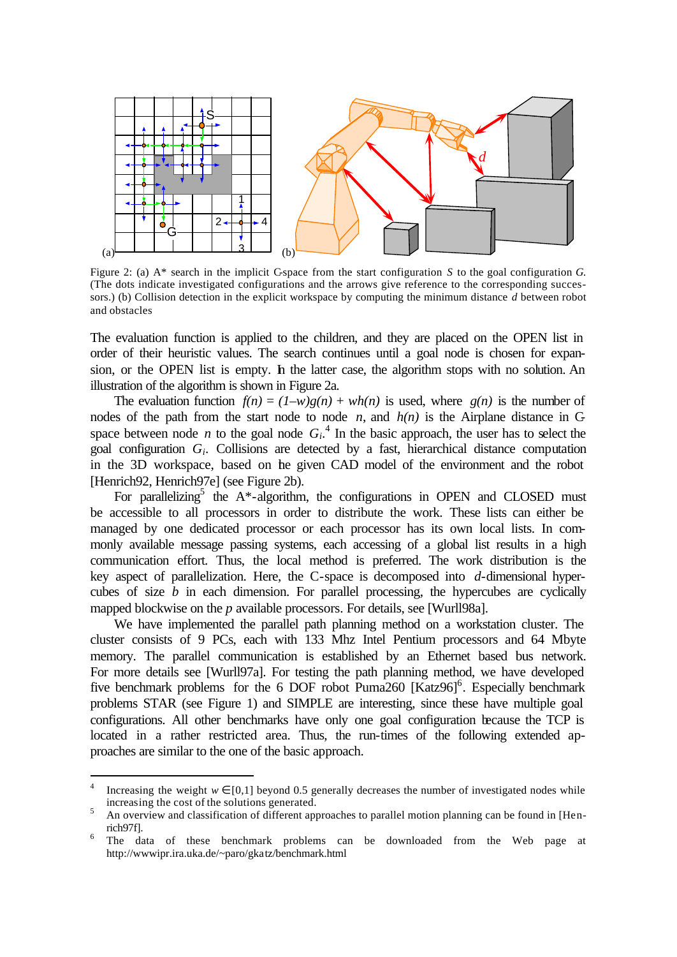

Figure 2: (a) A\* search in the implicit C-space from the start configuration *S* to the goal configuration *G.*  (The dots indicate investigated configurations and the arrows give reference to the corresponding successors.) (b) Collision detection in the explicit workspace by computing the minimum distance *d* between robot and obstacles

The evaluation function is applied to the children, and they are placed on the OPEN list in order of their heuristic values. The search continues until a goal node is chosen for expansion, or the OPEN list is empty. In the latter case, the algorithm stops with no solution. An illustration of the algorithm is shown in Figure 2a.

The evaluation function  $f(n) = (1-w)g(n) + wh(n)$  is used, where  $g(n)$  is the number of nodes of the path from the start node to node *n*, and  $h(n)$  is the Airplane distance in Gspace between node *n* to the goal node  $G_i$ <sup>4</sup>. In the basic approach, the user has to select the goal configuration *Gi*. Collisions are detected by a fast, hierarchical distance computation in the 3D workspace, based on the given CAD model of the environment and the robot [Henrich92, Henrich97e] (see Figure 2b).

For parallelizing<sup>5</sup> the  $A^*$ -algorithm, the configurations in OPEN and CLOSED must be accessible to all processors in order to distribute the work. These lists can either be managed by one dedicated processor or each processor has its own local lists. In commonly available message passing systems, each accessing of a global list results in a high communication effort. Thus, the local method is preferred. The work distribution is the key aspect of parallelization. Here, the C-space is decomposed into *d*-dimensional hypercubes of size  $b$  in each dimension. For parallel processing, the hypercubes are cyclically mapped blockwise on the *p* available processors. For details, see [Wurll98a].

We have implemented the parallel path planning method on a workstation cluster. The cluster consists of 9 PCs, each with 133 Mhz Intel Pentium processors and 64 Mbyte memory. The parallel communication is established by an Ethernet based bus network. For more details see [Wurll97a]. For testing the path planning method, we have developed five benchmark problems for the 6 DOF robot Puma260 [Katz96]<sup>6</sup>. Especially benchmark problems STAR (see Figure 1) and SIMPLE are interesting, since these have multiple goal configurations. All other benchmarks have only one goal configuration because the TCP is located in a rather restricted area. Thus, the run-times of the following extended approaches are similar to the one of the basic approach.

l

<sup>4</sup> Increasing the weight  $w \hat{I}$  [0,1] beyond 0.5 generally decreases the number of investigated nodes while increasing the cost of the solutions generated.

<sup>&</sup>lt;sup>5</sup> An overview and classification of different approaches to parallel motion planning can be found in [Henrich97f].

<sup>6</sup> The data of these benchmark problems can be downloaded from the Web page at http://wwwipr.ira.uka.de/~paro/gkatz/benchmark.html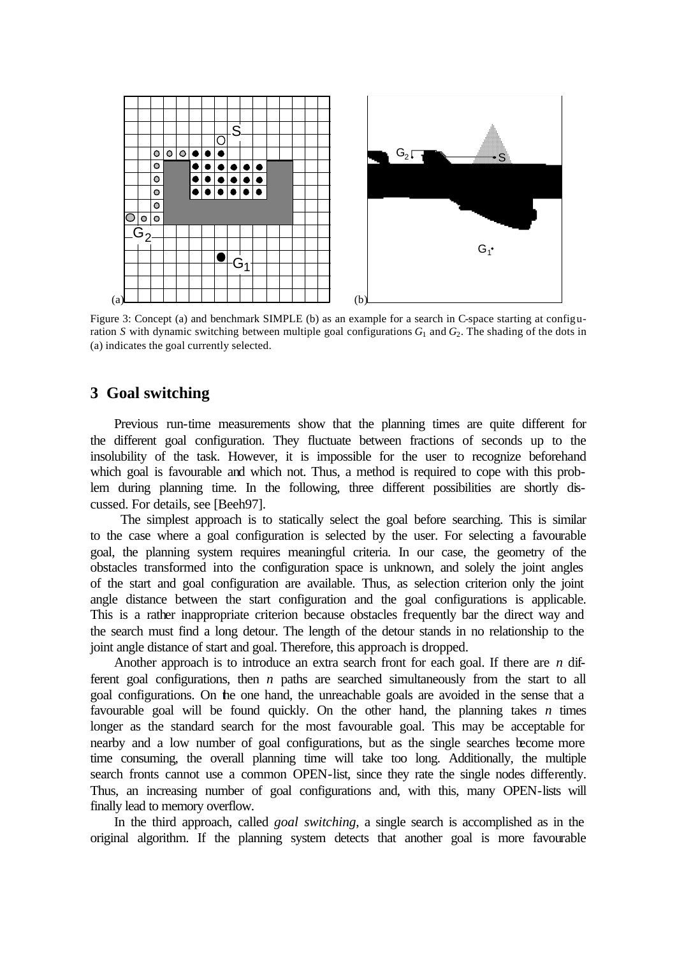

Figure 3: Concept (a) and benchmark SIMPLE (b) as an example for a search in C-space starting at configuration *S* with dynamic switching between multiple goal configurations  $G_1$  and  $G_2$ . The shading of the dots in (a) indicates the goal currently selected.

### **3 Goal switching**

Previous run-time measurements show that the planning times are quite different for the different goal configuration. They fluctuate between fractions of seconds up to the insolubility of the task. However, it is impossible for the user to recognize beforehand which goal is favourable and which not. Thus, a method is required to cope with this problem during planning time. In the following, three different possibilities are shortly discussed. For details, see [Beeh97].

 The simplest approach is to statically select the goal before searching. This is similar to the case where a goal configuration is selected by the user. For selecting a favourable goal, the planning system requires meaningful criteria. In our case, the geometry of the obstacles transformed into the configuration space is unknown, and solely the joint angles of the start and goal configuration are available. Thus, as selection criterion only the joint angle distance between the start configuration and the goal configurations is applicable. This is a rather inappropriate criterion because obstacles frequently bar the direct way and the search must find a long detour. The length of the detour stands in no relationship to the joint angle distance of start and goal. Therefore, this approach is dropped.

Another approach is to introduce an extra search front for each goal. If there are *n* different goal configurations, then *n* paths are searched simultaneously from the start to all goal configurations. On the one hand, the unreachable goals are avoided in the sense that a favourable goal will be found quickly. On the other hand, the planning takes *n* times longer as the standard search for the most favourable goal. This may be acceptable for nearby and a low number of goal configurations, but as the single searches become more time consuming, the overall planning time will take too long. Additionally, the multiple search fronts cannot use a common OPEN-list, since they rate the single nodes differently. Thus, an increasing number of goal configurations and, with this, many OPEN-lists will finally lead to memory overflow.

In the third approach, called *goal switching*, a single search is accomplished as in the original algorithm. If the planning system detects that another goal is more favourable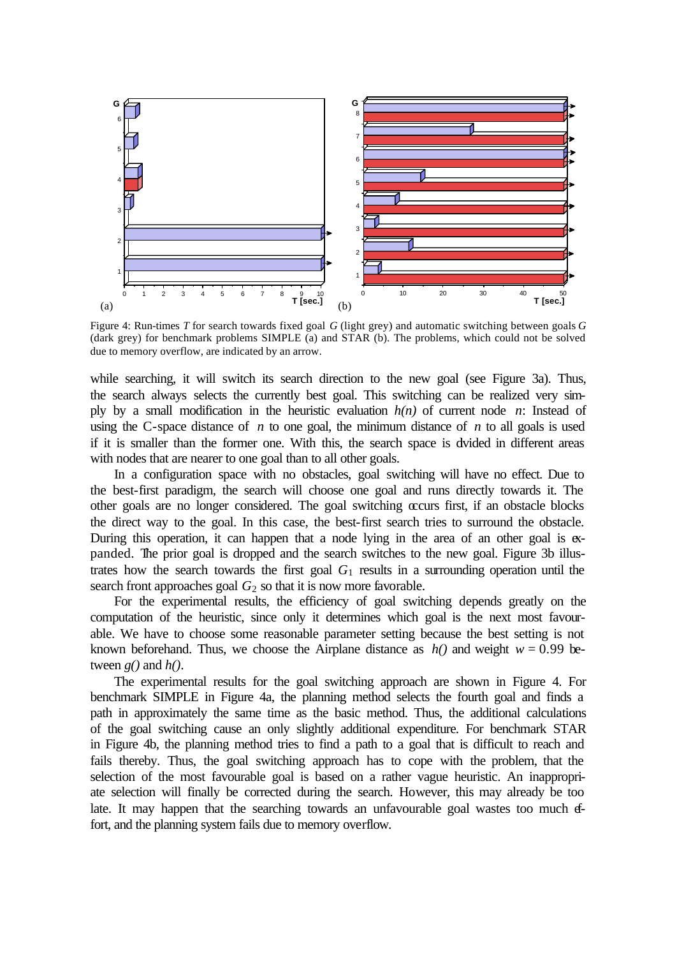

Figure 4: Run-times *T* for search towards fixed goal *G* (light grey) and automatic switching between goals *G* (dark grey) for benchmark problems SIMPLE (a) and STAR (b). The problems, which could not be solved due to memory overflow, are indicated by an arrow.

while searching, it will switch its search direction to the new goal (see Figure 3a). Thus, the search always selects the currently best goal. This switching can be realized very simply by a small modification in the heuristic evaluation *h(n)* of current node *n*: Instead of using the C-space distance of  $n$  to one goal, the minimum distance of  $n$  to all goals is used if it is smaller than the former one. With this, the search space is dvided in different areas with nodes that are nearer to one goal than to all other goals.

In a configuration space with no obstacles, goal switching will have no effect. Due to the best-first paradigm, the search will choose one goal and runs directly towards it. The other goals are no longer considered. The goal switching occurs first, if an obstacle blocks the direct way to the goal. In this case, the best-first search tries to surround the obstacle. During this operation, it can happen that a node lying in the area of an other goal is  $\alpha$ panded. The prior goal is dropped and the search switches to the new goal. Figure 3b illustrates how the search towards the first goal  $G_1$  results in a surrounding operation until the search front approaches goal  $G_2$  so that it is now more favorable.

For the experimental results, the efficiency of goal switching depends greatly on the computation of the heuristic, since only it determines which goal is the next most favourable. We have to choose some reasonable parameter setting because the best setting is not known beforehand. Thus, we choose the Airplane distance as  $h()$  and weight  $w = 0.99$  between *g()* and *h()*.

The experimental results for the goal switching approach are shown in Figure 4. For benchmark SIMPLE in Figure 4a, the planning method selects the fourth goal and finds a path in approximately the same time as the basic method. Thus, the additional calculations of the goal switching cause an only slightly additional expenditure. For benchmark STAR in Figure 4b, the planning method tries to find a path to a goal that is difficult to reach and fails thereby. Thus, the goal switching approach has to cope with the problem, that the selection of the most favourable goal is based on a rather vague heuristic. An inappropriate selection will finally be corrected during the search. However, this may already be too late. It may happen that the searching towards an unfavourable goal wastes too much effort, and the planning system fails due to memory overflow.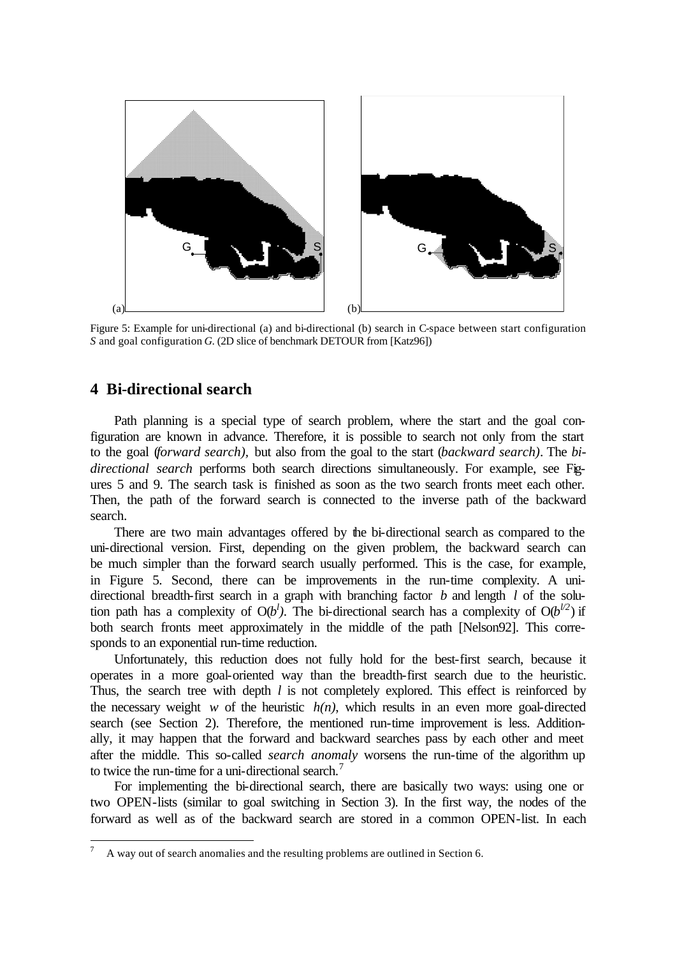

Figure 5: Example for uni-directional (a) and bi-directional (b) search in C-space between start configuration *S* and goal configuration *G*. (2D slice of benchmark DETOUR from [Katz96])

# **4 Bi-directional search**

l

Path planning is a special type of search problem, where the start and the goal configuration are known in advance. Therefore, it is possible to search not only from the start to the goal (*forward search),* but also from the goal to the start (*backward search)*. The *bidirectional search* performs both search directions simultaneously. For example, see Figures 5 and 9. The search task is finished as soon as the two search fronts meet each other. Then, the path of the forward search is connected to the inverse path of the backward search.

There are two main advantages offered by the bi-directional search as compared to the uni-directional version. First, depending on the given problem, the backward search can be much simpler than the forward search usually performed. This is the case, for example, in Figure 5. Second, there can be improvements in the run-time complexity. A unidirectional breadth-first search in a graph with branching factor *b* and length *l* of the solution path has a complexity of  $O(b^l)$ . The bi-directional search has a complexity of  $O(b^{l/2})$  if both search fronts meet approximately in the middle of the path [Nelson92]. This corresponds to an exponential run-time reduction.

Unfortunately, this reduction does not fully hold for the best-first search, because it operates in a more goal-oriented way than the breadth-first search due to the heuristic. Thus, the search tree with depth *l* is not completely explored. This effect is reinforced by the necessary weight *w* of the heuristic  $h(n)$ , which results in an even more goal-directed search (see Section 2). Therefore, the mentioned run-time improvement is less. Additionally, it may happen that the forward and backward searches pass by each other and meet after the middle. This so-called *search anomaly* worsens the run-time of the algorithm up to twice the run-time for a uni-directional search.<sup>7</sup>

For implementing the bi-directional search, there are basically two ways: using one or two OPEN-lists (similar to goal switching in Section 3). In the first way, the nodes of the forward as well as of the backward search are stored in a common OPEN-list. In each

<sup>7</sup> A way out of search anomalies and the resulting problems are outlined in Section 6.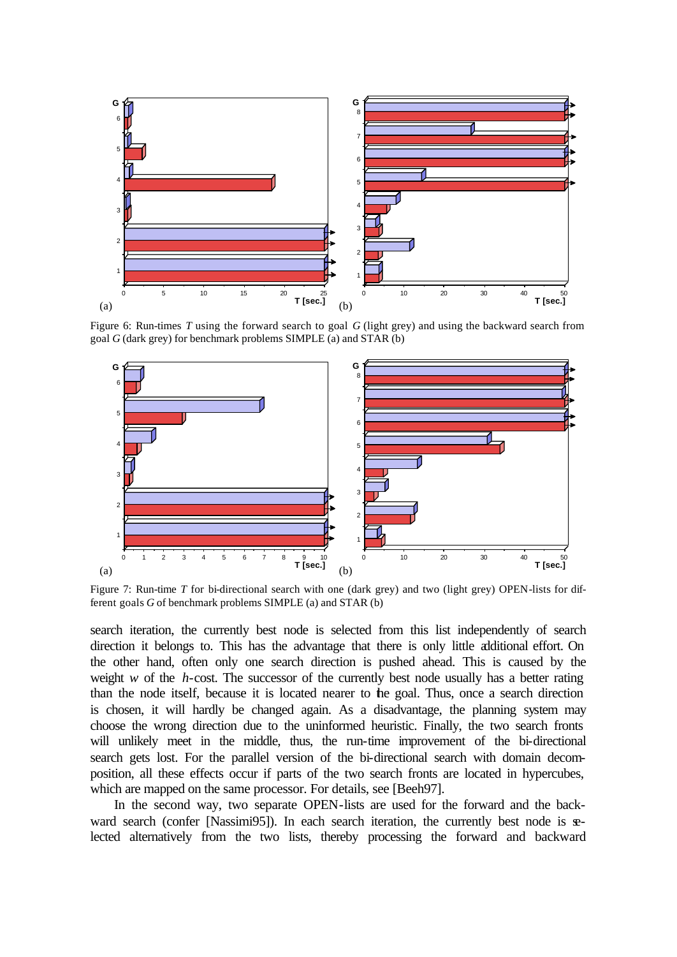

Figure 6: Run-times *T* using the forward search to goal *G* (light grey) and using the backward search from goal *G* (dark grey) for benchmark problems SIMPLE (a) and STAR (b)



Figure 7: Run-time *T* for bi-directional search with one (dark grey) and two (light grey) OPEN-lists for different goals *G* of benchmark problems SIMPLE (a) and STAR (b)

search iteration, the currently best node is selected from this list independently of search direction it belongs to. This has the advantage that there is only little additional effort. On the other hand, often only one search direction is pushed ahead. This is caused by the weight *w* of the *h*-cost. The successor of the currently best node usually has a better rating than the node itself, because it is located nearer to the goal. Thus, once a search direction is chosen, it will hardly be changed again. As a disadvantage, the planning system may choose the wrong direction due to the uninformed heuristic. Finally, the two search fronts will unlikely meet in the middle, thus, the run-time improvement of the bi-directional search gets lost. For the parallel version of the bi-directional search with domain decomposition, all these effects occur if parts of the two search fronts are located in hypercubes, which are mapped on the same processor. For details, see [Beeh97].

In the second way, two separate OPEN-lists are used for the forward and the backward search (confer [Nassimi95]). In each search iteration, the currently best node is  $\mathbf{s}$ lected alternatively from the two lists, thereby processing the forward and backward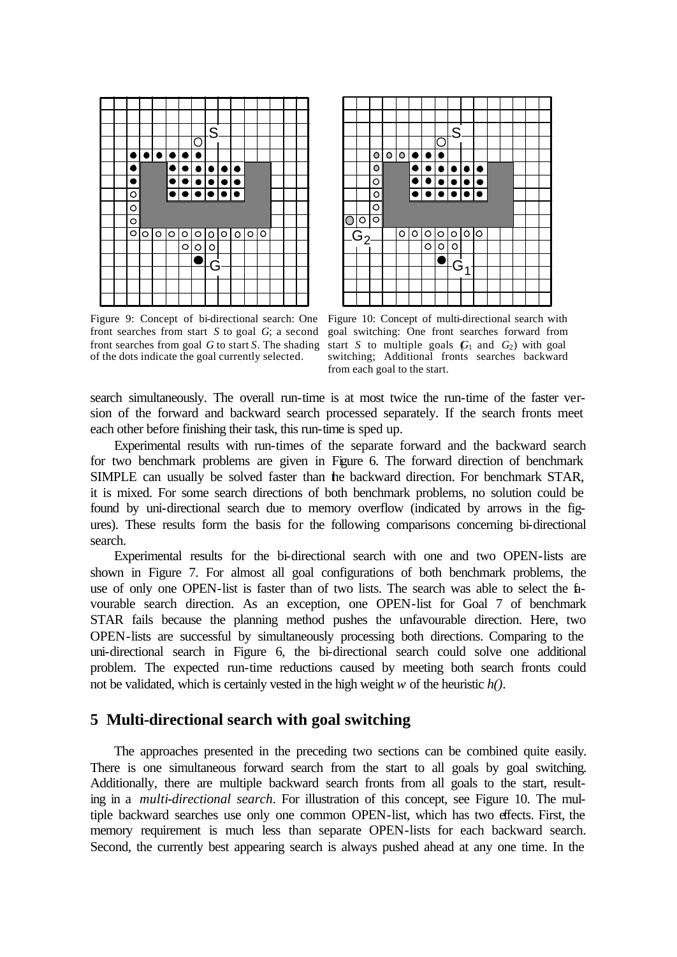



Figure 9: Concept of bi-directional search: One front searches from start *S* to goal *G*; a second of the dots indicate the goal currently selected.

front searches from goal G to start S. The shading start S to multiple goals  $G_1$  and  $G_2$ ) with goal Figure 10: Concept of multi-directional search with goal switching: One front searches forward from switching; Additional fronts searches backward from each goal to the start.

search simultaneously. The overall run-time is at most twice the run-time of the faster version of the forward and backward search processed separately. If the search fronts meet each other before finishing their task, this run-time is sped up.

Experimental results with run-times of the separate forward and the backward search for two benchmark problems are given in Figure 6. The forward direction of benchmark SIMPLE can usually be solved faster than the backward direction. For benchmark STAR, it is mixed. For some search directions of both benchmark problems, no solution could be found by uni-directional search due to memory overflow (indicated by arrows in the figures). These results form the basis for the following comparisons concerning bi-directional search.

Experimental results for the bi-directional search with one and two OPEN-lists are shown in Figure 7. For almost all goal configurations of both benchmark problems, the use of only one OPEN-list is faster than of two lists. The search was able to select the favourable search direction. As an exception, one OPEN-list for Goal 7 of benchmark STAR fails because the planning method pushes the unfavourable direction. Here, two OPEN-lists are successful by simultaneously processing both directions. Comparing to the uni-directional search in Figure 6, the bi-directional search could solve one additional problem. The expected run-time reductions caused by meeting both search fronts could not be validated, which is certainly vested in the high weight *w* of the heuristic *h()*.

#### **5 Multi-directional search with goal switching**

The approaches presented in the preceding two sections can be combined quite easily. There is one simultaneous forward search from the start to all goals by goal switching. Additionally, there are multiple backward search fronts from all goals to the start, resulting in a *multi-directional search*. For illustration of this concept, see Figure 10. The multiple backward searches use only one common OPEN-list, which has two effects. First, the memory requirement is much less than separate OPEN-lists for each backward search. Second, the currently best appearing search is always pushed ahead at any one time. In the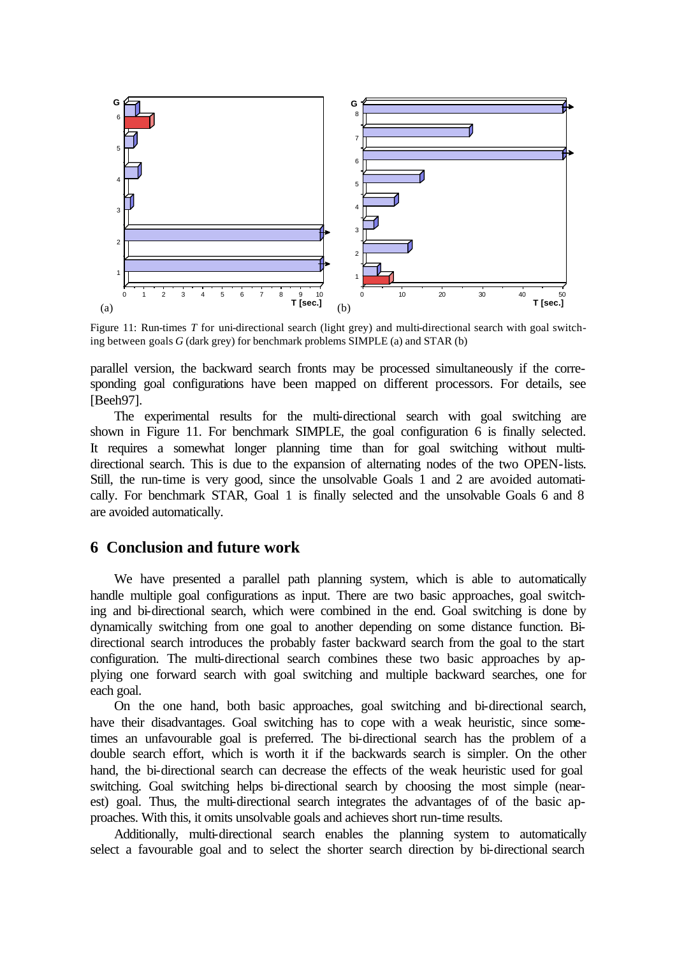

Figure 11: Run-times *T* for uni-directional search (light grey) and multi-directional search with goal switching between goals *G* (dark grey) for benchmark problems SIMPLE (a) and STAR (b)

parallel version, the backward search fronts may be processed simultaneously if the corresponding goal configurations have been mapped on different processors. For details, see [Beeh97].

The experimental results for the multi-directional search with goal switching are shown in Figure 11. For benchmark SIMPLE, the goal configuration 6 is finally selected. It requires a somewhat longer planning time than for goal switching without multidirectional search. This is due to the expansion of alternating nodes of the two OPEN-lists. Still, the run-time is very good, since the unsolvable Goals 1 and 2 are avoided automatically. For benchmark STAR, Goal 1 is finally selected and the unsolvable Goals 6 and 8 are avoided automatically.

# **6 Conclusion and future work**

We have presented a parallel path planning system, which is able to automatically handle multiple goal configurations as input. There are two basic approaches, goal switching and bi-directional search, which were combined in the end. Goal switching is done by dynamically switching from one goal to another depending on some distance function. Bidirectional search introduces the probably faster backward search from the goal to the start configuration. The multi-directional search combines these two basic approaches by applying one forward search with goal switching and multiple backward searches, one for each goal.

On the one hand, both basic approaches, goal switching and bi-directional search, have their disadvantages. Goal switching has to cope with a weak heuristic, since sometimes an unfavourable goal is preferred. The bi-directional search has the problem of a double search effort, which is worth it if the backwards search is simpler. On the other hand, the bi-directional search can decrease the effects of the weak heuristic used for goal switching. Goal switching helps bi-directional search by choosing the most simple (nearest) goal. Thus, the multi-directional search integrates the advantages of of the basic approaches. With this, it omits unsolvable goals and achieves short run-time results.

Additionally, multi-directional search enables the planning system to automatically select a favourable goal and to select the shorter search direction by bi-directional search